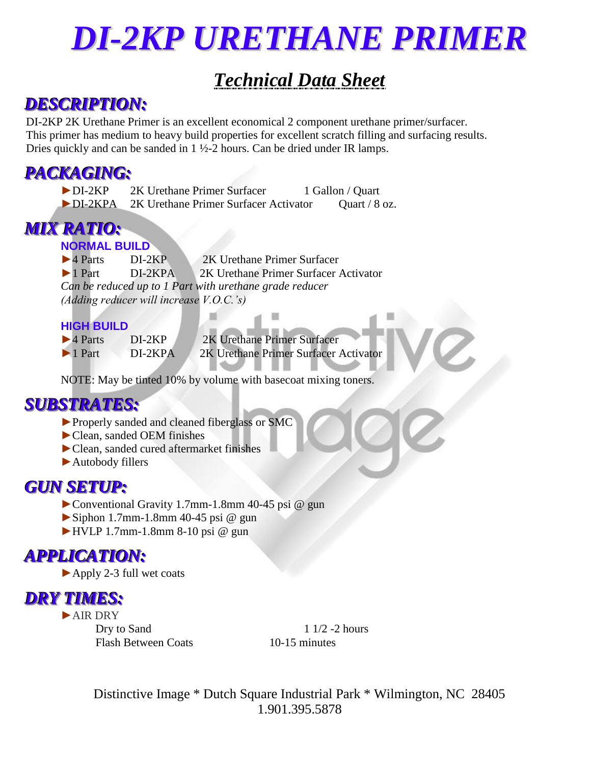# *DI-2KP URETHANE PRIMER*

# *Technical Data Sheet*

## *DESCRIPTION:*

DI-2KP 2K Urethane Primer is an excellent economical 2 component urethane primer/surfacer. This primer has medium to heavy build properties for excellent scratch filling and surfacing results. Dries quickly and can be sanded in 1 ½-2 hours. Can be dried under IR lamps.

### *PACKAGING:*

| $\blacktriangleright$ DI-2KP  | 2K Urethane Primer Surfacer           | 1 Gallon / Quart |
|-------------------------------|---------------------------------------|------------------|
| $\blacktriangleright$ DI-2KPA | 2K Urethane Primer Surfacer Activator | Quart / $8$ oz.  |

## *MIX RATIO:*

### **NORMAL BUILD**

►4 Parts DI-2KP 2K Urethane Primer Surfacer ►1 Part DI-2KPA 2K Urethane Primer Surfacer Activator *Can be reduced up to 1 Part with urethane grade reducer (Adding reducer will increase V.O.C.'s)*

### **HIGH BUILD**

| $\blacktriangleright$ 4 Parts | $DI-2KP$  | 2K Urethane Primer Surfacer           |
|-------------------------------|-----------|---------------------------------------|
| $\blacktriangleright$ 1 Part  | $DI-2KPA$ | 2K Urethane Primer Surfacer Activator |
|                               |           |                                       |

NOTE: May be tinted 10% by volume with basecoat mixing toners.

### *SUBSTRATES:*

- ►Properly sanded and cleaned fiberglass or SMC
- ►Clean, sanded OEM finishes
- ►Clean, sanded cured aftermarket finishes
- ►Autobody fillers

### *GUN SETUP:*

- ►Conventional Gravity 1.7mm-1.8mm 40-45 psi @ gun
- $\blacktriangleright$  Siphon 1.7mm-1.8mm 40-45 psi @ gun
- $\blacktriangleright$  HVLP 1.7mm-1.8mm 8-10 psi @ gun

## *APPLICATION:*

►Apply 2-3 full wet coats

### *DRY TIMES:*

►AIR DRY

Dry to Sand 1 1/2 -2 hours Flash Between Coats 10-15 minutes

Distinctive Image \* Dutch Square Industrial Park \* Wilmington, NC 28405 1.901.395.5878